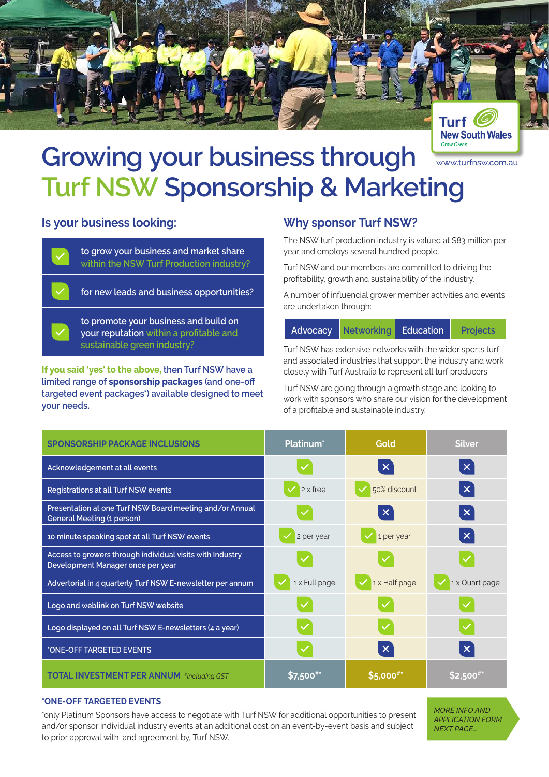



## www.turfnsw.com.au **Growing your business through Turf NSW Sponsorship & Marketing**

## **Is your business looking:**

**to grow your business and market share within the NSW Turf Production industry?**

**for new leads and business opportunities?**

**to promote your business and build on your reputation within a profitable and sustainable green industry?**

**If you said 'yes' to the above, then Turf NSW have a limited range of sponsorship packages (and one-off targeted event packages\*) available designed to meet your needs.** 

## **Why sponsor Turf NSW?**

The NSW turf production industry is valued at \$83 million per year and employs several hundred people.

Turf NSW and our members are committed to driving the profitability, growth and sustainability of the industry.

A number of influencial grower member activities and events are undertaken through:

|  | Advocacy Networking Education |  | Projects |
|--|-------------------------------|--|----------|
|--|-------------------------------|--|----------|

Turf NSW has extensive networks with the wider sports turf and associated industries that support the industry and work closely with Turf Australia to represent all turf producers.

Turf NSW are going through a growth stage and looking to work with sponsors who share our vision for the development of a profitable and sustainable industry.

| <b>SPONSORSHIP PACKAGE INCLUSIONS</b>                                                          | Platinum <sup>*</sup> | Gold                  | <b>Silver</b>             |
|------------------------------------------------------------------------------------------------|-----------------------|-----------------------|---------------------------|
| Acknowledgement at all events                                                                  |                       | $\boldsymbol{\times}$ | $\boldsymbol{\mathsf{X}}$ |
| Registrations at all Turf NSW events                                                           | 2 x free              | 50% discount          | $\boldsymbol{\mathsf{x}}$ |
| Presentation at one Turf NSW Board meeting and/or Annual<br><b>General Meeting (1 person)</b>  |                       | $\boldsymbol{\times}$ | $\boldsymbol{\mathsf{X}}$ |
| 10 minute speaking spot at all Turf NSW events                                                 | 2 per year            | 1 per year            | $\boldsymbol{\mathsf{x}}$ |
| Access to growers through individual visits with Industry<br>Development Manager once per year |                       |                       |                           |
| Advertorial in 4 quarterly Turf NSW E-newsletter per annum                                     | 1 x Full page         | 1 x Half page         | 1 x Quart page            |
| Logo and weblink on Turf NSW website                                                           |                       |                       |                           |
| Logo displayed on all Turf NSW E-newsletters (4 a year)                                        |                       |                       |                           |
| *ONE-OFF TARGETED EVENTS                                                                       |                       | $\boldsymbol{\times}$ | $\boldsymbol{\mathsf{X}}$ |
| <b>TOTAL INVESTMENT PER ANNUM #including GST</b>                                               | \$7,500''             | \$5,000#*             | <b>S2.500</b>             |

#### **\*ONE-OFF TARGETED EVENTS**

\*only Platinum Sponsors have access to negotiate with Turf NSW for additional opportunities to present and/or sponsor individual industry events at an additional cost on an event-by-event basis and subject to prior approval with, and agreement by, Turf NSW.

*MORE INFO AND APPLICATION FORM NEXT PAGE...*